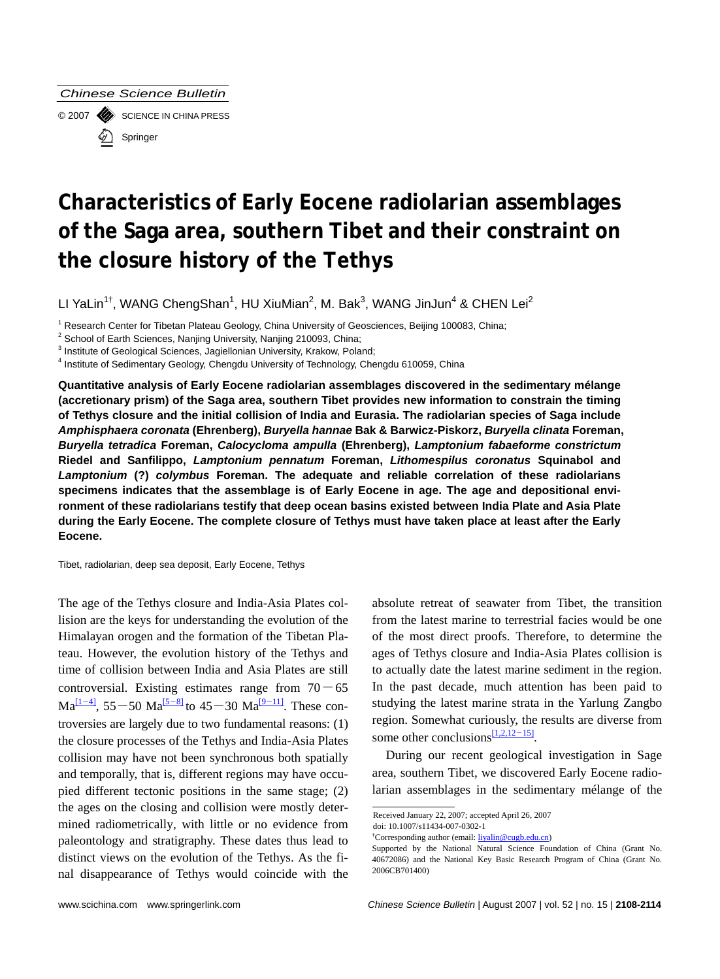*Chinese Science Bulletin* 

© 2007 SCIENCE IN CHINA PRESS Springer

# **Characteristics of Early Eocene radiolarian assemblages of the Saga area, southern Tibet and their constraint on the closure history of the Tethys**

LI YaLin<sup>1†</sup>, WANG ChengShan<sup>1</sup>, HU XiuMian<sup>2</sup>, M. Bak<sup>3</sup>, WANG JinJun<sup>4</sup> & CHEN Lei<sup>2</sup>

<sup>1</sup> Research Center for Tibetan Plateau Geology, China University of Geosciences, Beijing 100083, China;<br><sup>2</sup> Sebesi of Farth Sciences, Nacijaa University, Nacijaa 210003, China;

 $2$  School of Earth Sciences, Nanjing University, Nanjing 210093, China;

 $3$  Institute of Geological Sciences, Jagiellonian University, Krakow, Poland;

<sup>4</sup> Institute of Sedimentary Geology, Chengdu University of Technology, Chengdu 610059, China

**Quantitative analysis of Early Eocene radiolarian assemblages discovered in the sedimentary mélange (accretionary prism) of the Saga area, southern Tibet provides new information to constrain the timing of Tethys closure and the initial collision of India and Eurasia. The radiolarian species of Saga include**  *Amphisphaera coronata* **(Ehrenberg),** *Buryella hannae* **Bak & Barwicz-Piskorz,** *Buryella clinata* **Foreman,** *Buryella tetradica* **Foreman,** *Calocycloma ampulla* **(Ehrenberg),** *Lamptonium fabaeforme constrictum*  **Riedel and Sanfilippo,** *Lamptonium pennatum* **Foreman,** *Lithomespilus coronatus* **Squinabol and**  *Lamptonium* **(?)** *colymbus* **Foreman. The adequate and reliable correlation of these radiolarians specimens indicates that the assemblage is of Early Eocene in age. The age and depositional environment of these radiolarians testify that deep ocean basins existed between India Plate and Asia Plate during the Early Eocene. The complete closure of Tethys must have taken place at least after the Early Eocene.** 

Tibet, radiolarian, deep sea deposit, Early Eocene, Tethys

The age of the Tethys closure and India-Asia Plates collision are the keys for understanding the evolution of the Himalayan orogen and the formation of the Tibetan Plateau. However, the evolution history of the Tethys and time of collision between India and Asia Plates are still controversial. Existing estimates range from  $70 - 65$  $Ma^{[1-4]}$ , 55-50  $Ma^{[5-8]}$  to 45-30  $Ma^{[9-11]}$  $Ma^{[9-11]}$  $Ma^{[9-11]}$ . These controversies are largely due to two fundamental reasons: (1) the closure processes of the Tethys and India-Asia Plates collision may have not been synchronous both spatially and temporally, that is, different regions may have occupied different tectonic positions in the same stage; (2) the ages on the closing and collision were mostly determined radiometrically, with little or no evidence from paleontology and stratigraphy. These dates thus lead to distinct views on the evolution of the Tethys. As the final disappearance of Tethys would coincide with the absolute retreat of seawater from Tibet, the transition from the latest marine to terrestrial facies would be one of the most direct proofs. Therefore, to determine the ages of Tethys closure and India-Asia Plates collision is to actually date the latest marine sediment in the region. In the past decade, much attention has been paid to studying the latest marine strata in the Yarlung Zangbo region. Somewhat curiously, the results are diverse from some other conclusions $\frac{[1,2,12-15]}{[1,2,12-15]}$ .

During our recent geological investigation in Sage area, southern Tibet, we discovered Early Eocene radiolarian assemblages in the sedimentary mélange of the

2006CB701400)

l

Received January 22, 2007; accepted April 26, 2007

doi: 10.1007/s11434-007-0302-1

<sup>&</sup>lt;sup>†</sup>Corresponding author (email: **liyalin@cugb.edu.cn**) Supported by the National Natural Science Foundation of China (Grant No. 40672086) and the National Key Basic Research Program of China (Grant No.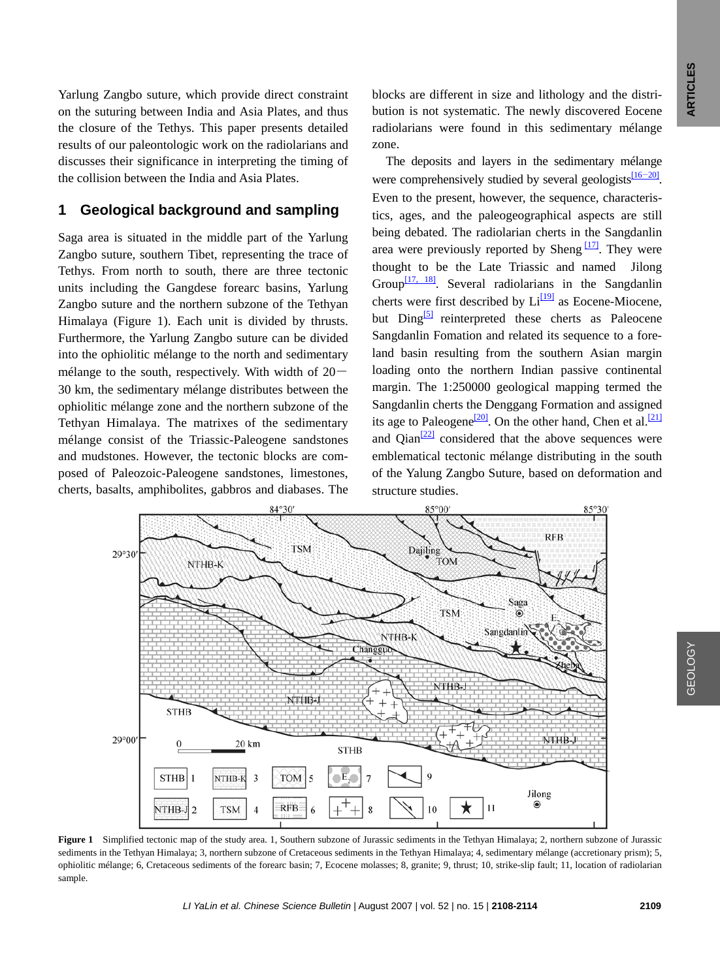Yarlung Zangbo suture, which provide direct constraint on the suturing between India and Asia Plates, and thus the closure of the Tethys. This paper presents detailed results of our paleontologic work on the radiolarians and discusses their significance in interpreting the timing of the collision between the India and Asia Plates.

### **1 Geological background and sampling**

Saga area is situated in the middle part of the Yarlung Zangbo suture, southern Tibet, representing the trace of Tethys. From north to south, there are three tectonic units including the Gangdese forearc basins, Yarlung Zangbo suture and the northern subzone of the Tethyan Himalaya (Figure 1). Each unit is divided by thrusts. Furthermore, the Yarlung Zangbo suture can be divided into the ophiolitic mélange to the north and sedimentary mélange to the south, respectively. With width of  $20-$ 30 km, the sedimentary mélange distributes between the ophiolitic mélange zone and the northern subzone of the Tethyan Himalaya. The matrixes of the sedimentary mélange consist of the Triassic-Paleogene sandstones and mudstones. However, the tectonic blocks are composed of Paleozoic-Paleogene sandstones, limestones, cherts, basalts, amphibolites, gabbros and diabases. The

blocks are different in size and lithology and the distribution is not systematic. The newly discovered Eocene radiolarians were found in this sedimentary mélange zone.

The deposits and layers in the sedimentary mélange were comprehensively studied by several geologists $\frac{116-20}{16}$ . Even to the present, however, the sequence, characteristics, ages, and the paleogeographical aspects are still being debated. The radiolarian cherts in the Sangdanlin area were previously reported by Sheng  $\frac{17}{7}$ . They were thought to be the Late Triassic and named Jilong Group<sup>[17, 18]</sup>. Several radiolarians in the Sangdanlin cherts were first described by  $Li<sup>[19]</sup>$  as Eocene-Miocene, but  $\text{Ding}^{[5]}$  $\text{Ding}^{[5]}$  $\text{Ding}^{[5]}$  reinterpreted these cherts as Paleocene Sangdanlin Fomation and related its sequence to a foreland basin resulting from the southern Asian margin loading onto the northern Indian passive continental margin. The 1:250000 geological mapping termed the Sangdanlin cherts the Denggang Formation and assigned its age to Paleogene<sup>[\[20\]](#page-6-0)</sup>. On the other hand, Chen et al.<sup>[\[21\]](#page-6-0)</sup> and  $\text{Qian}^{[22]}$  $\text{Qian}^{[22]}$  $\text{Qian}^{[22]}$  considered that the above sequences were emblematical tectonic mélange distributing in the south of the Yalung Zangbo Suture, based on deformation and structure studies.



**Figure 1** Simplified tectonic map of the study area. 1, Southern subzone of Jurassic sediments in the Tethyan Himalaya; 2, northern subzone of Jurassic sediments in the Tethyan Himalaya; 3, northern subzone of Cretaceous sediments in the Tethyan Himalaya; 4, sedimentary mélange (accretionary prism); 5, ophiolitic mélange; 6, Cretaceous sediments of the forearc basin; 7, Ecocene molasses; 8, granite; 9, thrust; 10, strike-slip fault; 11, location of radiolarian sample.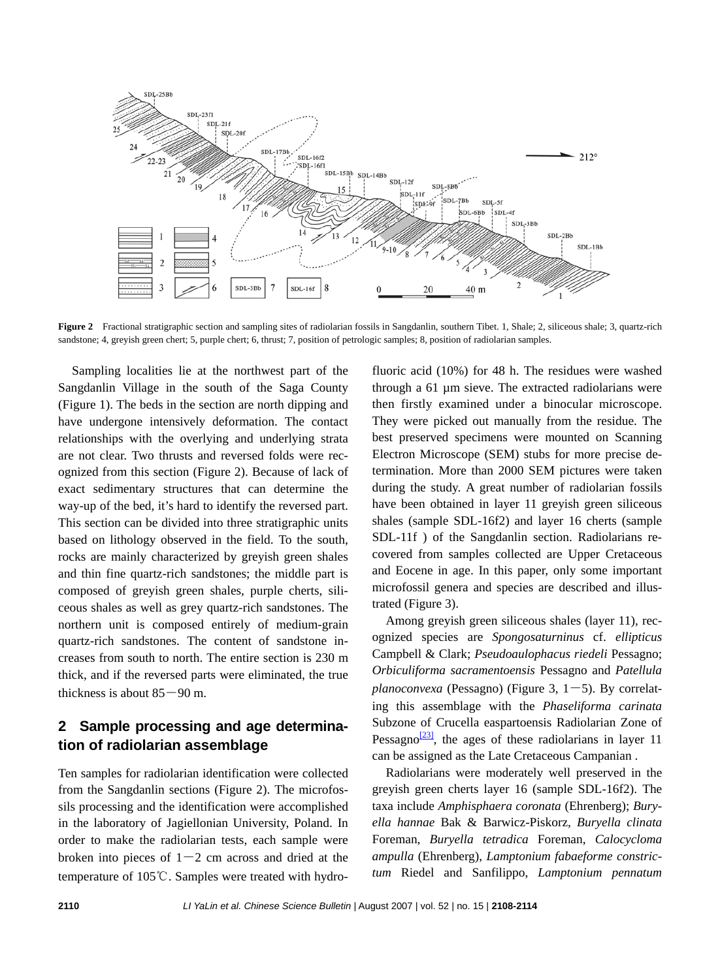

**Figure 2** Fractional stratigraphic section and sampling sites of radiolarian fossils in Sangdanlin, southern Tibet. 1, Shale; 2, siliceous shale; 3, quartz-rich sandstone; 4, greyish green chert; 5, purple chert; 6, thrust; 7, position of petrologic samples; 8, position of radiolarian samples.

Sampling localities lie at the northwest part of the Sangdanlin Village in the south of the Saga County (Figure 1). The beds in the section are north dipping and have undergone intensively deformation. The contact relationships with the overlying and underlying strata are not clear. Two thrusts and reversed folds were recognized from this section (Figure 2). Because of lack of exact sedimentary structures that can determine the way-up of the bed, it's hard to identify the reversed part. This section can be divided into three stratigraphic units based on lithology observed in the field. To the south, rocks are mainly characterized by greyish green shales and thin fine quartz-rich sandstones; the middle part is composed of greyish green shales, purple cherts, siliceous shales as well as grey quartz-rich sandstones. The northern unit is composed entirely of medium-grain quartz-rich sandstones. The content of sandstone increases from south to north. The entire section is 230 m thick, and if the reversed parts were eliminated, the true thickness is about  $85 - 90$  m.

## **2 Sample processing and age determination of radiolarian assemblage**

Ten samples for radiolarian identification were collected from the Sangdanlin sections (Figure 2). The microfossils processing and the identification were accomplished in the laboratory of Jagiellonian University, Poland. In order to make the radiolarian tests, each sample were broken into pieces of  $1-2$  cm across and dried at the temperature of 105℃. Samples were treated with hydrofluoric acid (10%) for 48 h. The residues were washed through a 61 µm sieve. The extracted radiolarians were then firstly examined under a binocular microscope. They were picked out manually from the residue. The best preserved specimens were mounted on Scanning Electron Microscope (SEM) stubs for more precise determination. More than 2000 SEM pictures were taken during the study. A great number of radiolarian fossils have been obtained in layer 11 greyish green siliceous shales (sample SDL-16f2) and layer 16 cherts (sample SDL-11f ) of the Sangdanlin section. Radiolarians recovered from samples collected are Upper Cretaceous and Eocene in age. In this paper, only some important microfossil genera and species are described and illustrated (Figure 3).

Among greyish green siliceous shales (layer 11), recognized species are *Spongosaturninus* cf. *ellipticus*  Campbell & Clark; *Pseudoaulophacus riedeli* Pessagno; *Orbiculiforma sacramentoensis* Pessagno and *Patellula planoconvexa* (Pessagno) (Figure 3,  $1-5$ ). By correlating this assemblage with the *Phaseliforma carinata* Subzone of Crucella easpartoensis Radiolarian Zone of Pessagno $\frac{[23]}{]}$  $\frac{[23]}{]}$  $\frac{[23]}{]}$ , the ages of these radiolarians in layer 11 can be assigned as the Late Cretaceous Campanian .

Radiolarians were moderately well preserved in the greyish green cherts layer 16 (sample SDL-16f2). The taxa include *Amphisphaera coronata* (Ehrenberg); *Buryella hannae* Bak & Barwicz-Piskorz, *Buryella clinata*  Foreman, *Buryella tetradica* Foreman, *Calocycloma ampulla* (Ehrenberg), *Lamptonium fabaeforme constrictum* Riedel and Sanfilippo, *Lamptonium pennatum*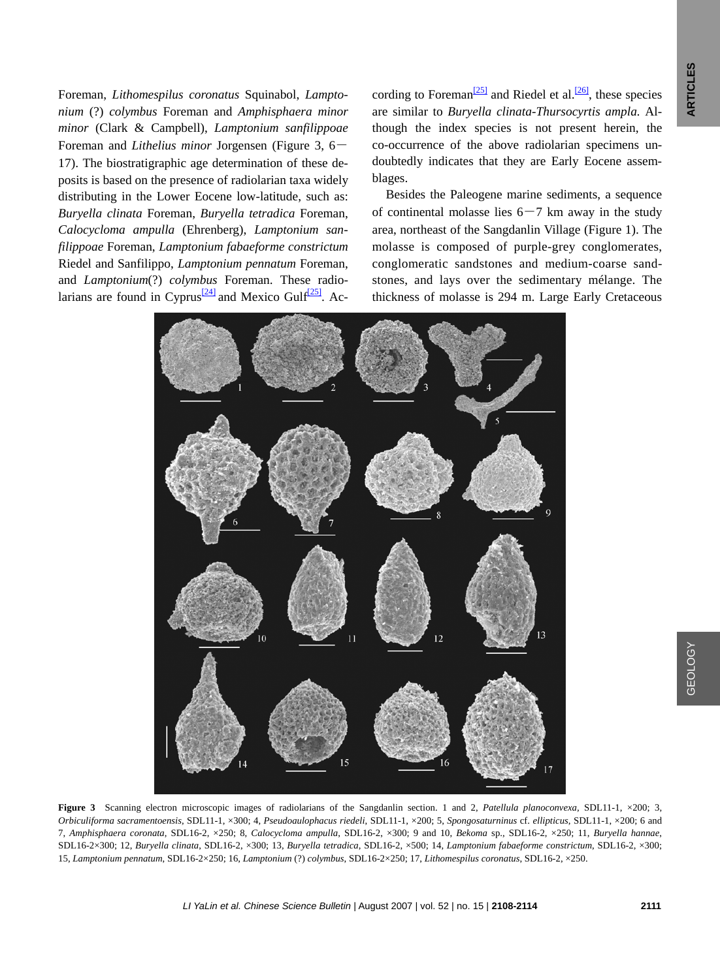Foreman, *Lithomespilus coronatus* Squinabol, *Lamptonium* (?) *colymbus* Foreman and *Amphisphaera minor minor* (Clark & Campbell), *Lamptonium sanfilippoae*  Foreman and *Lithelius minor* Jorgensen (Figure 3, 6- 17). The biostratigraphic age determination of these deposits is based on the presence of radiolarian taxa widely distributing in the Lower Eocene low-latitude, such as: *Buryella clinata* Foreman, *Buryella tetradica* Foreman, *Calocycloma ampulla* (Ehrenberg), *Lamptonium sanfilippoae* Foreman, *Lamptonium fabaeforme constrictum*  Riedel and Sanfilippo, *Lamptonium pennatum* Foreman, and *Lamptonium*(?) *colymbus* Foreman. These radio-larians are found in Cyprus<sup>[\[24\]](#page-6-0)</sup> and Mexico Gulf<sup>[25]</sup>. According to Foreman<sup>[25]</sup> and Riedel et al.<sup>[26]</sup>, these species are similar to *Buryella clinata-Thursocyrtis ampla.* Although the index species is not present herein, the co-occurrence of the above radiolarian specimens undoubtedly indicates that they are Early Eocene assemblages.

Besides the Paleogene marine sediments, a sequence of continental molasse lies  $6-7$  km away in the study area, northeast of the Sangdanlin Village (Figure 1). The molasse is composed of purple-grey conglomerates, conglomeratic sandstones and medium-coarse sandstones, and lays over the sedimentary mélange. The thickness of molasse is 294 m. Large Early Cretaceous



**Figure 3** Scanning electron microscopic images of radiolarians of the Sangdanlin section. 1 and 2, *Patellula planoconvexa,* SDL11-1, ×200; 3, *Orbiculiforma sacramentoensis*, SDL11-1, ×300; 4, *Pseudoaulophacus riedeli*, SDL11-1, ×200; 5, *Spongosaturninus* cf. *ellipticus*, SDL11-1, ×200; 6 and 7, *Amphisphaera coronata*, SDL16-2, ×250; 8, *Calocycloma ampulla*, SDL16-2, ×300; 9 and 10, *Bekoma* sp., SDL16-2, ×250; 11, *Buryella hannae*, SDL16-2×300; 12, *Buryella clinata*, SDL16-2, ×300; 13, *Buryella tetradica*, SDL16-2, ×500; 14, *Lamptonium fabaeforme constrictum*, SDL16-2, ×300; 15, *Lamptonium pennatum*, SDL16-2×250; 16, *Lamptonium* (?) *colymbus*, SDL16-2×250; 17, *Lithomespilus coronatus*, SDL16-2, ×250.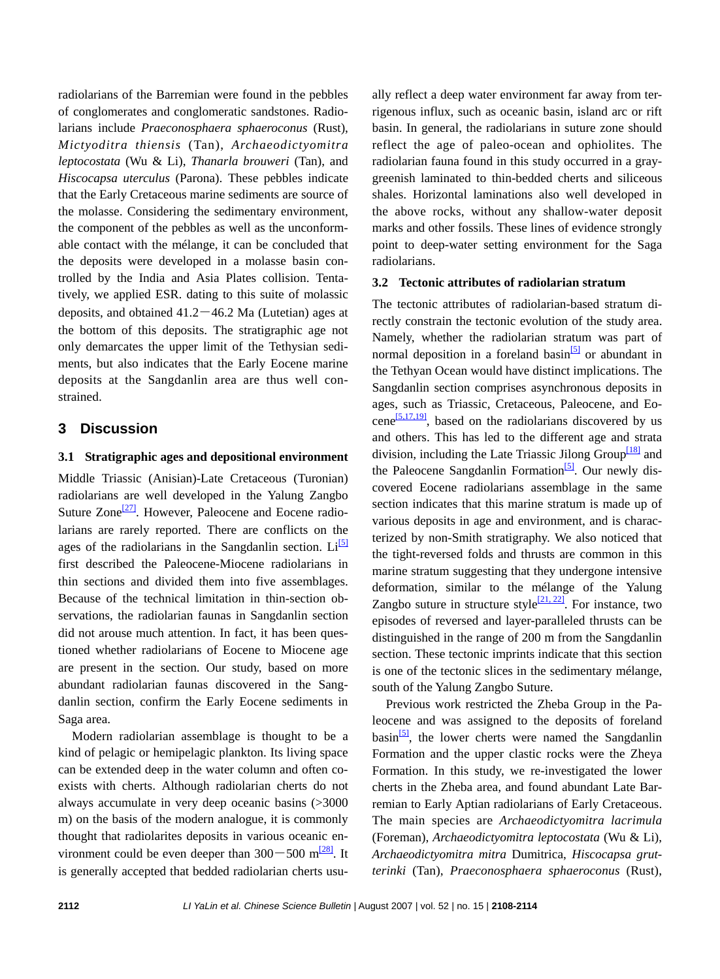radiolarians of the Barremian were found in the pebbles of conglomerates and conglomeratic sandstones. Radiolarians include *Praeconosphaera sphaeroconus* (Rust), *Mictyoditra thiensis* (Tan), *Archaeodictyomitra leptocostata* (Wu & Li), *Thanarla brouweri* (Tan), and *Hiscocapsa uterculus* (Parona). These pebbles indicate that the Early Cretaceous marine sediments are source of the molasse. Considering the sedimentary environment, the component of the pebbles as well as the unconformable contact with the mélange, it can be concluded that the deposits were developed in a molasse basin controlled by the India and Asia Plates collision. Tentatively, we applied ESR. dating to this suite of molassic deposits, and obtained  $41.2 - 46.2$  Ma (Lutetian) ages at the bottom of this deposits. The stratigraphic age not only demarcates the upper limit of the Tethysian sediments, but also indicates that the Early Eocene marine deposits at the Sangdanlin area are thus well constrained.

### **3 Discussion**

#### **3.1 Stratigraphic ages and depositional environment**

Middle Triassic (Anisian)-Late Cretaceous (Turonian) radiolarians are well developed in the Yalung Zangbo Suture Zone<sup>[27]</sup>. However, Paleocene and Eocene radiolarians are rarely reported. There are conflicts on the ages of the radiolarians in the Sangdanlin section.  $Li^{5}$ first described the Paleocene-Miocene radiolarians in thin sections and divided them into five assemblages. Because of the technical limitation in thin-section observations, the radiolarian faunas in Sangdanlin section did not arouse much attention. In fact, it has been questioned whether radiolarians of Eocene to Miocene age are present in the section. Our study, based on more abundant radiolarian faunas discovered in the Sangdanlin section, confirm the Early Eocene sediments in Saga area.

Modern radiolarian assemblage is thought to be a kind of pelagic or hemipelagic plankton. Its living space can be extended deep in the water column and often coexists with cherts. Although radiolarian cherts do not always accumulate in very deep oceanic basins (>3000 m) on the basis of the modern analogue, it is commonly thought that radiolarites deposits in various oceanic environment could be even deeper than  $300-500$  m<sup>[\[28\]](#page-6-0)</sup>. It is generally accepted that bedded radiolarian cherts usually reflect a deep water environment far away from terrigenous influx, such as oceanic basin, island arc or rift basin. In general, the radiolarians in suture zone should reflect the age of paleo-ocean and ophiolites. The radiolarian fauna found in this study occurred in a graygreenish laminated to thin-bedded cherts and siliceous shales. Horizontal laminations also well developed in the above rocks, without any shallow-water deposit marks and other fossils. These lines of evidence strongly point to deep-water setting environment for the Saga radiolarians.

#### **3.2 Tectonic attributes of radiolarian stratum**

The tectonic attributes of radiolarian-based stratum directly constrain the tectonic evolution of the study area. Namely, whether the radiolarian stratum was part of normal deposition in a foreland basin<sup>[5]</sup> or abundant in the Tethyan Ocean would have distinct implications. The Sangdanlin section comprises asynchronous deposits in ages, such as Triassic, Cretaceous, Paleocene, and Eocene<sup>[5,17,19]</sup>, based on the radiolarians discovered by us and others. This has led to the different age and strata division, including the Late Triassic Jilong Group $\frac{18}{8}$  and the Paleocene Sangdanlin Formation<sup>[5]</sup>. Our newly discovered Eocene radiolarians assemblage in the same section indicates that this marine stratum is made up of various deposits in age and environment, and is characterized by non-Smith stratigraphy. We also noticed that the tight-reversed folds and thrusts are common in this marine stratum suggesting that they undergone intensive deformation, similar to the mélange of the Yalung Zangbo suture in structure style $\frac{[21, 22]}{[21, 22]}$ . For instance, two episodes of reversed and layer-paralleled thrusts can be distinguished in the range of 200 m from the Sangdanlin section. These tectonic imprints indicate that this section is one of the tectonic slices in the sedimentary mélange, south of the Yalung Zangbo Suture.

Previous work restricted the Zheba Group in the Paleocene and was assigned to the deposits of foreland  $basin^{\{5\}}$ , the lower cherts were named the Sangdanlin Formation and the upper clastic rocks were the Zheya Formation. In this study, we re-investigated the lower cherts in the Zheba area, and found abundant Late Barremian to Early Aptian radiolarians of Early Cretaceous. The main species are *Archaeodictyomitra lacrimula*  (Foreman), *Archaeodictyomitra leptocostata* (Wu & Li), *Archaeodictyomitra mitra* Dumitrica, *Hiscocapsa grutterinki* (Tan), *Praeconosphaera sphaeroconus* (Rust),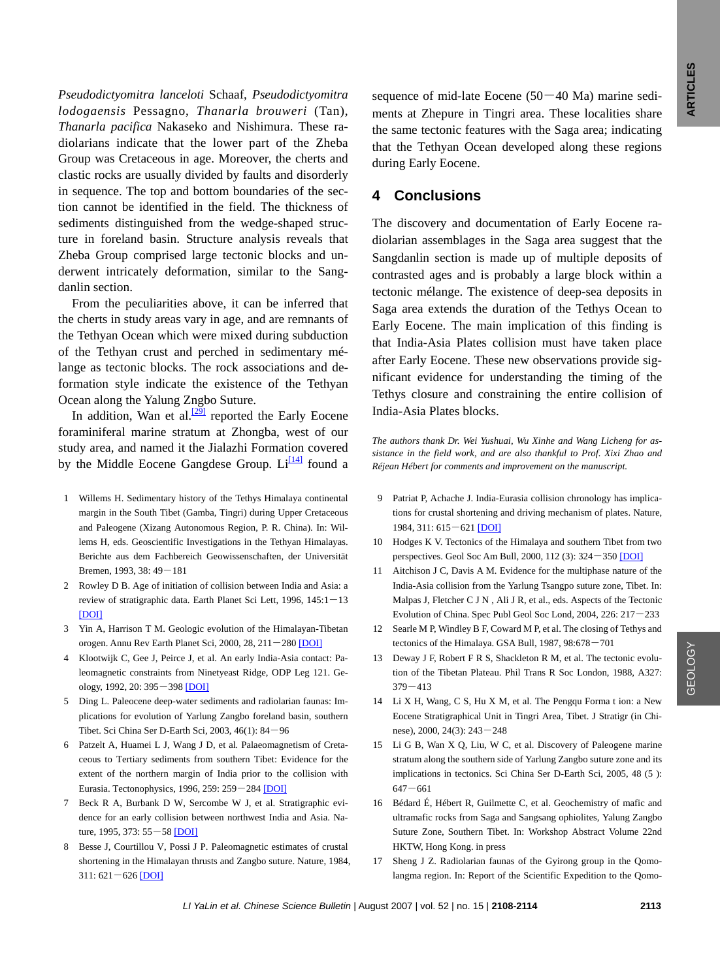<span id="page-5-0"></span>*Pseudodictyomitra lanceloti* Schaaf, *Pseudodictyomitra lodogaensis* Pessagno, *Thanarla brouweri* (Tan), *Thanarla pacifica* Nakaseko and Nishimura. These radiolarians indicate that the lower part of the Zheba Group was Cretaceous in age. Moreover, the cherts and clastic rocks are usually divided by faults and disorderly in sequence. The top and bottom boundaries of the section cannot be identified in the field. The thickness of sediments distinguished from the wedge-shaped structure in foreland basin. Structure analysis reveals that Zheba Group comprised large tectonic blocks and underwent intricately deformation, similar to the Sangdanlin section.

From the peculiarities above, it can be inferred that the cherts in study areas vary in age, and are remnants of the Tethyan Ocean which were mixed during subduction of the Tethyan crust and perched in sedimentary mélange as tectonic blocks. The rock associations and deformation style indicate the existence of the Tethyan Ocean along the Yalung Zngbo Suture.

In addition, Wan et al. $\frac{[29]}{[29]}$  reported the Early Eocene foraminiferal marine stratum at Zhongba, west of our study area, and named it the Jialazhi Formation covered by the Middle Eocene Gangdese Group.  $Li^{[14]}$  found a

- 1 Willems H. Sedimentary history of the Tethys Himalaya continental margin in the South Tibet (Gamba, Tingri) during Upper Cretaceous and Paleogene (Xizang Autonomous Region, P. R. China). In: Willems H, eds. Geoscientific Investigations in the Tethyan Himalayas. Berichte aus dem Fachbereich Geowissenschaften, der Universität Bremen, 1993, 38: 49―181
- 2 Rowley D B. Age of initiation of collision between India and Asia: a review of stratigraphic data. Earth Planet Sci Lett, 1996, 145:1―13 [\[DOI\]](http://dx.doi.org/10.1016/S0012-821X(96)00201-4)
- 3 Yin A, Harrison T M. Geologic evolution of the Himalayan-Tibetan orogen. Annu Rev Earth Planet Sci, 2000, 28, 211―280 [\[DOI\]](http://dx.doi.org/10.1146/annurev.earth.28.1.211)
- 4 Klootwijk C, Gee J, Peirce J, et al. An early India-Asia contact: Paleomagnetic constraints from Ninetyeast Ridge, ODP Leg 121. Geology, 1992, 20: 395―398 [\[DOI\]](http://dx.doi.org/10.1130/0091-7613(1992)020<0395:AEIACP>2.3.CO;2)
- 5 Ding L. Paleocene deep-water sediments and radiolarian faunas: Implications for evolution of Yarlung Zangbo foreland basin, southern Tibet. Sci China Ser D-Earth Sci, 2003, 46(1): 84―96
- 6 Patzelt A, Huamei L J, Wang J D, et al*.* Palaeomagnetism of Cretaceous to Tertiary sediments from southern Tibet: Evidence for the extent of the northern margin of India prior to the collision with Eurasia. Tectonophysics, 1996, 259: 259―284 [\[DOI\]](http://dx.doi.org/10.1016/0040-1951(95)00181-6)
- 7 Beck R A, Burbank D W, Sercombe W J, et al. Stratigraphic evidence for an early collision between northwest India and Asia. Nature, 1995, 373: 55―58 [\[DOI\]](http://dx.doi.org/10.1038/373055a0)
- 8 Besse J, Courtillou V, Possi J P. Paleomagnetic estimates of crustal shortening in the Himalayan thrusts and Zangbo suture. Nature, 1984,  $311: 621 - 626$  [\[DOI\]](http://dx.doi.org/10.1038/311621a0)

sequence of mid-late Eocene  $(50-40$  Ma) marine sediments at Zhepure in Tingri area. These localities share the same tectonic features with the Saga area; indicating that the Tethyan Ocean developed along these regions during Early Eocene.

#### **4 Conclusions**

The discovery and documentation of Early Eocene radiolarian assemblages in the Saga area suggest that the Sangdanlin section is made up of multiple deposits of contrasted ages and is probably a large block within a tectonic mélange. The existence of deep-sea deposits in Saga area extends the duration of the Tethys Ocean to Early Eocene. The main implication of this finding is that India-Asia Plates collision must have taken place after Early Eocene. These new observations provide significant evidence for understanding the timing of the Tethys closure and constraining the entire collision of India-Asia Plates blocks.

*The authors thank Dr. Wei Yushuai, Wu Xinhe and Wang Licheng for assistance in the field work, and are also thankful to Prof. Xixi Zhao and Réjean Hébert for comments and improvement on the manuscript.*

- 9 Patriat P, Achache J. India-Eurasia collision chronology has implications for crustal shortening and driving mechanism of plates. Nature, 1984, 311: 615―621 [\[DOI\]](http://dx.doi.org/10.1038/311615a0)
- 10 Hodges K V. Tectonics of the Himalaya and southern Tibet from two perspectives. Geol Soc Am Bull, 2000, 112 (3): 324―350 [\[DOI\]](http://dx.doi.org/10.1130/0016-7606(2000)112<0324:TOTHAS>2.3.CO;2)
- 11 Aitchison J C, Davis A M. Evidence for the multiphase nature of the India-Asia collision from the Yarlung Tsangpo suture zone, Tibet. In: Malpas J, Fletcher C J N , Ali J R, et al., eds. Aspects of the Tectonic Evolution of China. Spec Publ Geol Soc Lond, 2004, 226: 217―233
- 12 Searle M P, Windley B F, Coward M P, et al. The closing of Tethys and tectonics of the Himalaya. GSA Bull, 1987, 98:678―701
- 13 Deway J F, Robert F R S, Shackleton R M, et al. The tectonic evolution of the Tibetan Plateau. Phil Trans R Soc London, 1988, A327: 379―413
- 14 Li X H, Wang, C S, Hu X M, et al. The Pengqu Forma t ion: a New Eocene Stratigraphical Unit in Tingri Area, Tibet. J Stratigr (in Chinese), 2000, 24(3): 243―248
- 15 Li G B, Wan X Q, Liu, W C, et al. Discovery of Paleogene marine stratum along the southern side of Yarlung Zangbo suture zone and its implications in tectonics. Sci China Ser D-Earth Sci, 2005, 48 (5 ): 647―661
- 16 Bédard É, Hébert R, Guilmette C, et al. Geochemistry of mafic and ultramafic rocks from Saga and Sangsang ophiolites, Yalung Zangbo Suture Zone, Southern Tibet. In: Workshop Abstract Volume 22nd HKTW, Hong Kong. in press
- 17 Sheng J Z. Radiolarian faunas of the Gyirong group in the Qomolangma region. In: Report of the Scientific Expedition to the Qomo-